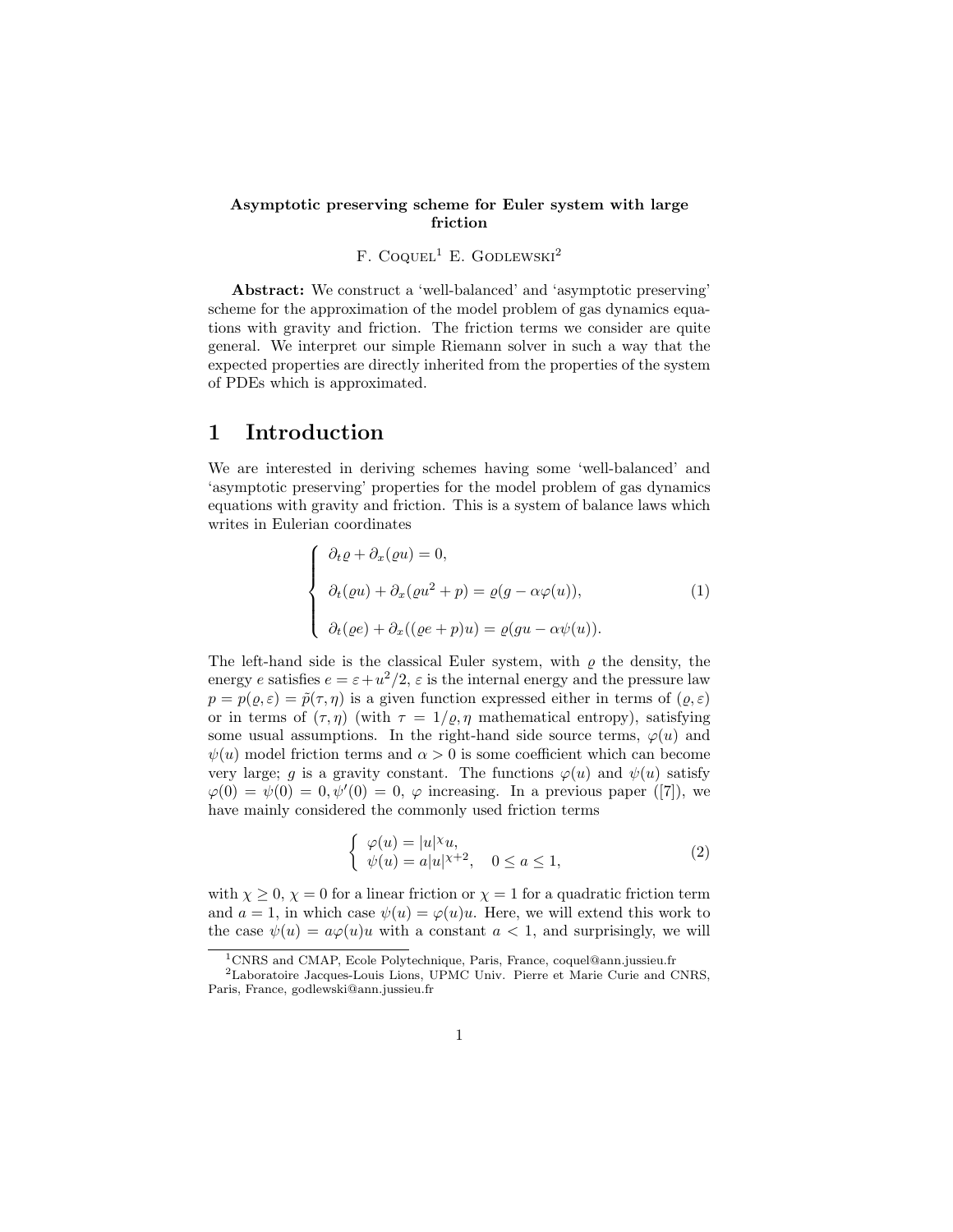#### Asymptotic preserving scheme for Euler system with large friction

### F. COQUEL<sup>1</sup> E. GODLEWSKI<sup>2</sup>

Abstract: We construct a 'well-balanced' and 'asymptotic preserving' scheme for the approximation of the model problem of gas dynamics equations with gravity and friction. The friction terms we consider are quite general. We interpret our simple Riemann solver in such a way that the expected properties are directly inherited from the properties of the system of PDEs which is approximated.

## 1 Introduction

We are interested in deriving schemes having some 'well-balanced' and 'asymptotic preserving' properties for the model problem of gas dynamics equations with gravity and friction. This is a system of balance laws which writes in Eulerian coordinates

$$
\begin{cases}\n\partial_t \varrho + \partial_x (\varrho u) = 0, \\
\partial_t (\varrho u) + \partial_x (\varrho u^2 + p) = \varrho (g - \alpha \varphi(u)), \\
\partial_t (\varrho e) + \partial_x ((\varrho e + p)u) = \varrho (gu - \alpha \psi(u)).\n\end{cases}
$$
\n(1)

The left-hand side is the classical Euler system, with  $\rho$  the density, the energy e satisfies  $e = \varepsilon + u^2/2$ ,  $\varepsilon$  is the internal energy and the pressure law  $p = p(\varrho, \varepsilon) = \tilde{p}(\tau, \eta)$  is a given function expressed either in terms of  $(\varrho, \varepsilon)$ or in terms of  $(\tau, \eta)$  (with  $\tau = 1/\rho, \eta$  mathematical entropy), satisfying some usual assumptions. In the right-hand side source terms,  $\varphi(u)$  and  $\psi(u)$  model friction terms and  $\alpha > 0$  is some coefficient which can become very large; g is a gravity constant. The functions  $\varphi(u)$  and  $\psi(u)$  satisfy  $\varphi(0) = \psi(0) = 0, \psi'(0) = 0, \varphi$  increasing. In a previous paper ([7]), we have mainly considered the commonly used friction terms

$$
\begin{cases}\n\varphi(u) = |u|^{\chi}u, \\
\psi(u) = a|u|^{\chi+2}, \quad 0 \le a \le 1,\n\end{cases}
$$
\n(2)

with  $\chi \geq 0$ ,  $\chi = 0$  for a linear friction or  $\chi = 1$  for a quadratic friction term and  $a = 1$ , in which case  $\psi(u) = \varphi(u)u$ . Here, we will extend this work to the case  $\psi(u) = a\varphi(u)u$  with a constant  $a < 1$ , and surprisingly, we will

 $\overline{1}_{\rm CNRS}$  and CMAP, Ecole Polytechnique, Paris, France, coquel@ann.jussieu.fr

<sup>2</sup>Laboratoire Jacques-Louis Lions, UPMC Univ. Pierre et Marie Curie and CNRS, Paris, France, godlewski@ann.jussieu.fr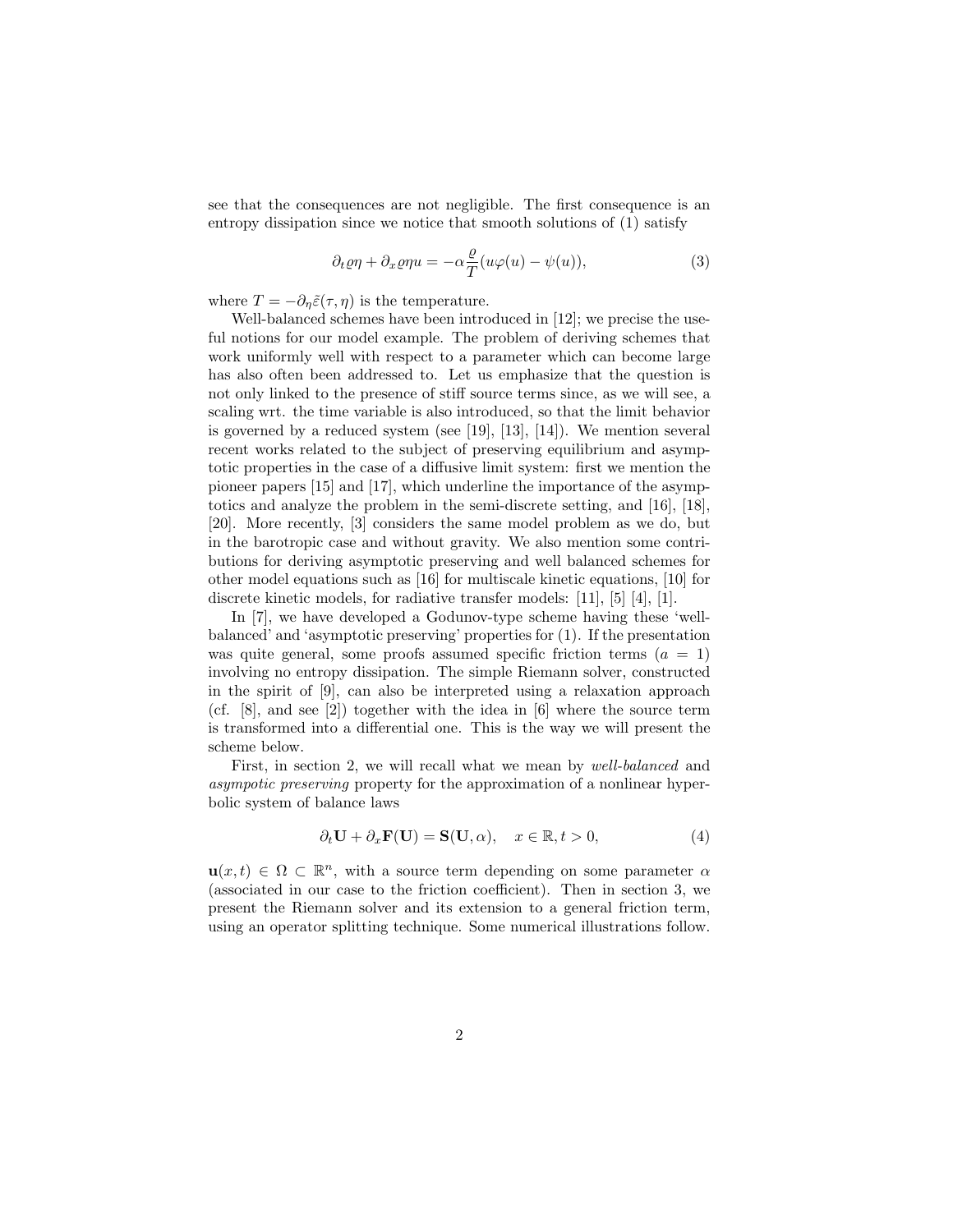see that the consequences are not negligible. The first consequence is an entropy dissipation since we notice that smooth solutions of (1) satisfy

$$
\partial_t \varrho \eta + \partial_x \varrho \eta u = -\alpha \frac{\varrho}{T} (u\varphi(u) - \psi(u)), \tag{3}
$$

where  $T = -\partial_n \tilde{\varepsilon}(\tau, \eta)$  is the temperature.

Well-balanced schemes have been introduced in [12]; we precise the useful notions for our model example. The problem of deriving schemes that work uniformly well with respect to a parameter which can become large has also often been addressed to. Let us emphasize that the question is not only linked to the presence of stiff source terms since, as we will see, a scaling wrt. the time variable is also introduced, so that the limit behavior is governed by a reduced system (see [19], [13], [14]). We mention several recent works related to the subject of preserving equilibrium and asymptotic properties in the case of a diffusive limit system: first we mention the pioneer papers [15] and [17], which underline the importance of the asymptotics and analyze the problem in the semi-discrete setting, and [16], [18], [20]. More recently, [3] considers the same model problem as we do, but in the barotropic case and without gravity. We also mention some contributions for deriving asymptotic preserving and well balanced schemes for other model equations such as [16] for multiscale kinetic equations, [10] for discrete kinetic models, for radiative transfer models: [11], [5] [4], [1].

In [7], we have developed a Godunov-type scheme having these 'wellbalanced' and 'asymptotic preserving' properties for (1). If the presentation was quite general, some proofs assumed specific friction terms  $(a = 1)$ involving no entropy dissipation. The simple Riemann solver, constructed in the spirit of [9], can also be interpreted using a relaxation approach (cf.  $[8]$ , and see  $[2]$ ) together with the idea in  $[6]$  where the source term is transformed into a differential one. This is the way we will present the scheme below.

First, in section 2, we will recall what we mean by *well-balanced* and asympotic preserving property for the approximation of a nonlinear hyperbolic system of balance laws

$$
\partial_t \mathbf{U} + \partial_x \mathbf{F}(\mathbf{U}) = \mathbf{S}(\mathbf{U}, \alpha), \quad x \in \mathbb{R}, t > 0,
$$
\n<sup>(4)</sup>

 $u(x,t) \in \Omega \subset \mathbb{R}^n$ , with a source term depending on some parameter  $\alpha$ (associated in our case to the friction coefficient). Then in section 3, we present the Riemann solver and its extension to a general friction term, using an operator splitting technique. Some numerical illustrations follow.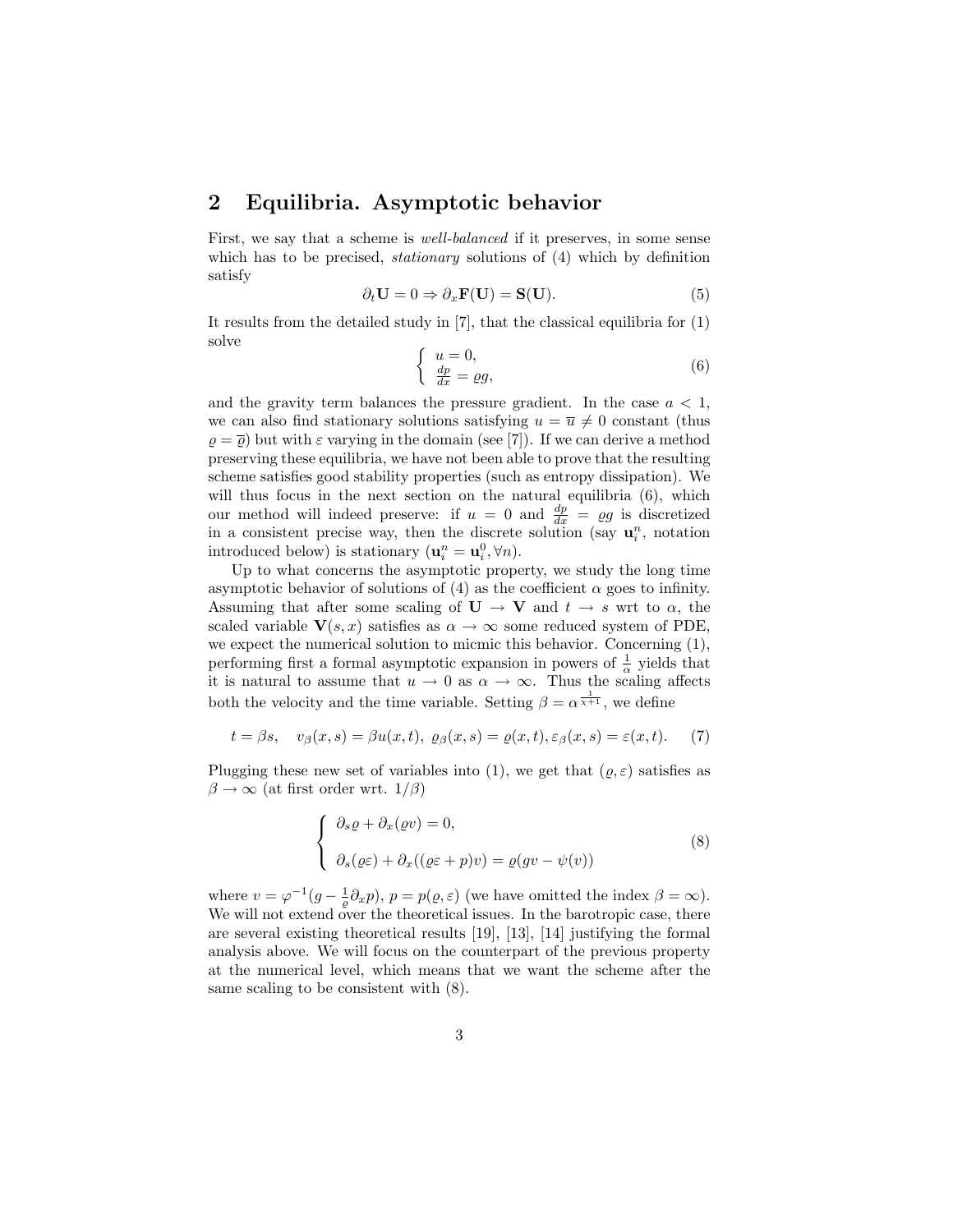## 2 Equilibria. Asymptotic behavior

First, we say that a scheme is well-balanced if it preserves, in some sense which has to be precised, *stationary* solutions of (4) which by definition satisfy

$$
\partial_t \mathbf{U} = 0 \Rightarrow \partial_x \mathbf{F}(\mathbf{U}) = \mathbf{S}(\mathbf{U}). \tag{5}
$$

It results from the detailed study in [7], that the classical equilibria for (1) solve

$$
\begin{cases}\n u = 0, \\
 \frac{dp}{dx} = \varrho g,\n\end{cases} \tag{6}
$$

and the gravity term balances the pressure gradient. In the case  $a < 1$ , we can also find stationary solutions satisfying  $u = \overline{u} \neq 0$  constant (thus  $\rho = \overline{\rho}$ ) but with  $\varepsilon$  varying in the domain (see [7]). If we can derive a method preserving these equilibria, we have not been able to prove that the resulting scheme satisfies good stability properties (such as entropy dissipation). We will thus focus in the next section on the natural equilibria  $(6)$ , which our method will indeed preserve: if  $u = 0$  and  $\frac{dp}{dx} = \rho g$  is discretized in a consistent precise way, then the discrete solution (say  $\mathbf{u}_i^n$ , notation introduced below) is stationary  $(\mathbf{u}_i^n = \mathbf{u}_i^0, \forall n)$ .

Up to what concerns the asymptotic property, we study the long time asymptotic behavior of solutions of (4) as the coefficient  $\alpha$  goes to infinity. Assuming that after some scaling of  $\mathbf{U} \to \mathbf{V}$  and  $t \to s$  wrt to  $\alpha$ , the scaled variable  $V(s, x)$  satisfies as  $\alpha \to \infty$  some reduced system of PDE, we expect the numerical solution to micmic this behavior. Concerning (1), performing first a formal asymptotic expansion in powers of  $\frac{1}{\alpha}$  yields that it is natural to assume that  $u \to 0$  as  $\alpha \to \infty$ . Thus the scaling affects both the velocity and the time variable. Setting  $\beta = \alpha^{\frac{1}{\chi+1}}$ , we define

$$
t = \beta s
$$
,  $v_{\beta}(x, s) = \beta u(x, t)$ ,  $\varrho_{\beta}(x, s) = \varrho(x, t), \varepsilon_{\beta}(x, s) = \varepsilon(x, t)$ . (7)

Plugging these new set of variables into (1), we get that  $(\varrho, \varepsilon)$  satisfies as  $\beta \to \infty$  (at first order wrt. 1/ $\beta$ )

$$
\begin{cases}\n\partial_s \varrho + \partial_x(\varrho v) = 0, \\
\partial_s(\varrho \varepsilon) + \partial_x((\varrho \varepsilon + p)v) = \varrho(gv - \psi(v))\n\end{cases}
$$
\n(8)

where  $v = \varphi^{-1}(g - \frac{1}{\varrho} \partial_x p), p = p(\varrho, \varepsilon)$  (we have omitted the index  $\beta = \infty$ ). We will not extend over the theoretical issues. In the barotropic case, there are several existing theoretical results [19], [13], [14] justifying the formal analysis above. We will focus on the counterpart of the previous property at the numerical level, which means that we want the scheme after the same scaling to be consistent with (8).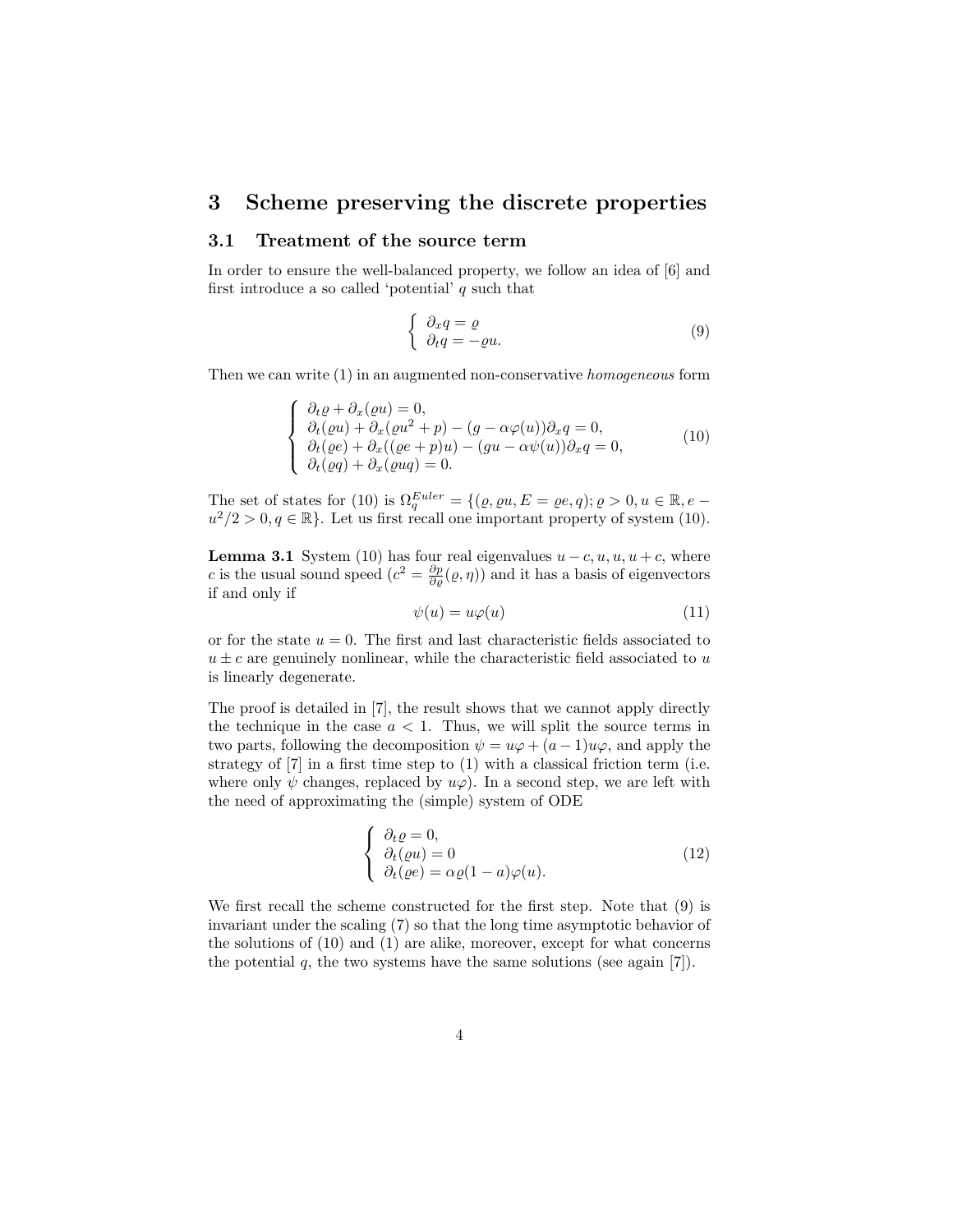## 3 Scheme preserving the discrete properties

### 3.1 Treatment of the source term

In order to ensure the well-balanced property, we follow an idea of [6] and first introduce a so called 'potential'  $q$  such that

$$
\begin{cases}\n\partial_x q = \varrho \\
\partial_t q = -\varrho u.\n\end{cases} (9)
$$

Then we can write (1) in an augmented non-conservative homogeneous form

$$
\begin{cases}\n\partial_t \varrho + \partial_x(\varrho u) = 0, \\
\partial_t(\varrho u) + \partial_x(\varrho u^2 + p) - (g - \alpha \varphi(u))\partial_x q = 0, \\
\partial_t(\varrho e) + \partial_x((\varrho e + p)u) - (gu - \alpha \psi(u))\partial_x q = 0, \\
\partial_t(\varrho q) + \partial_x(\varrho u q) = 0.\n\end{cases} (10)
$$

The set of states for (10) is  $\Omega_q^{Euler} = \{(\varrho, \varrho u, E = \varrho e, q); \varrho > 0, u \in \mathbb{R}, e$  $u^2/2 > 0, q \in \mathbb{R}$ . Let us first recall one important property of system (10).

**Lemma 3.1** System (10) has four real eigenvalues  $u - c, u, u, u + c$ , where c is the usual sound speed  $(c^2 = \frac{\partial p}{\partial \rho}(\rho, \eta))$  and it has a basis of eigenvectors if and only if

$$
\psi(u) = u\varphi(u) \tag{11}
$$

or for the state  $u = 0$ . The first and last characteristic fields associated to  $u \pm c$  are genuinely nonlinear, while the characteristic field associated to u is linearly degenerate.

The proof is detailed in [7], the result shows that we cannot apply directly the technique in the case  $a < 1$ . Thus, we will split the source terms in two parts, following the decomposition  $\psi = u\varphi + (a-1)u\varphi$ , and apply the strategy of [7] in a first time step to (1) with a classical friction term (i.e. where only  $\psi$  changes, replaced by  $u\varphi$ . In a second step, we are left with the need of approximating the (simple) system of ODE

$$
\begin{cases}\n\partial_t \varrho = 0, \\
\partial_t (\varrho u) = 0 \\
\partial_t (\varrho e) = \alpha \varrho (1 - a) \varphi(u).\n\end{cases}
$$
\n(12)

We first recall the scheme constructed for the first step. Note that (9) is invariant under the scaling (7) so that the long time asymptotic behavior of the solutions of  $(10)$  and  $(1)$  are alike, moreover, except for what concerns the potential  $q$ , the two systems have the same solutions (see again [7]).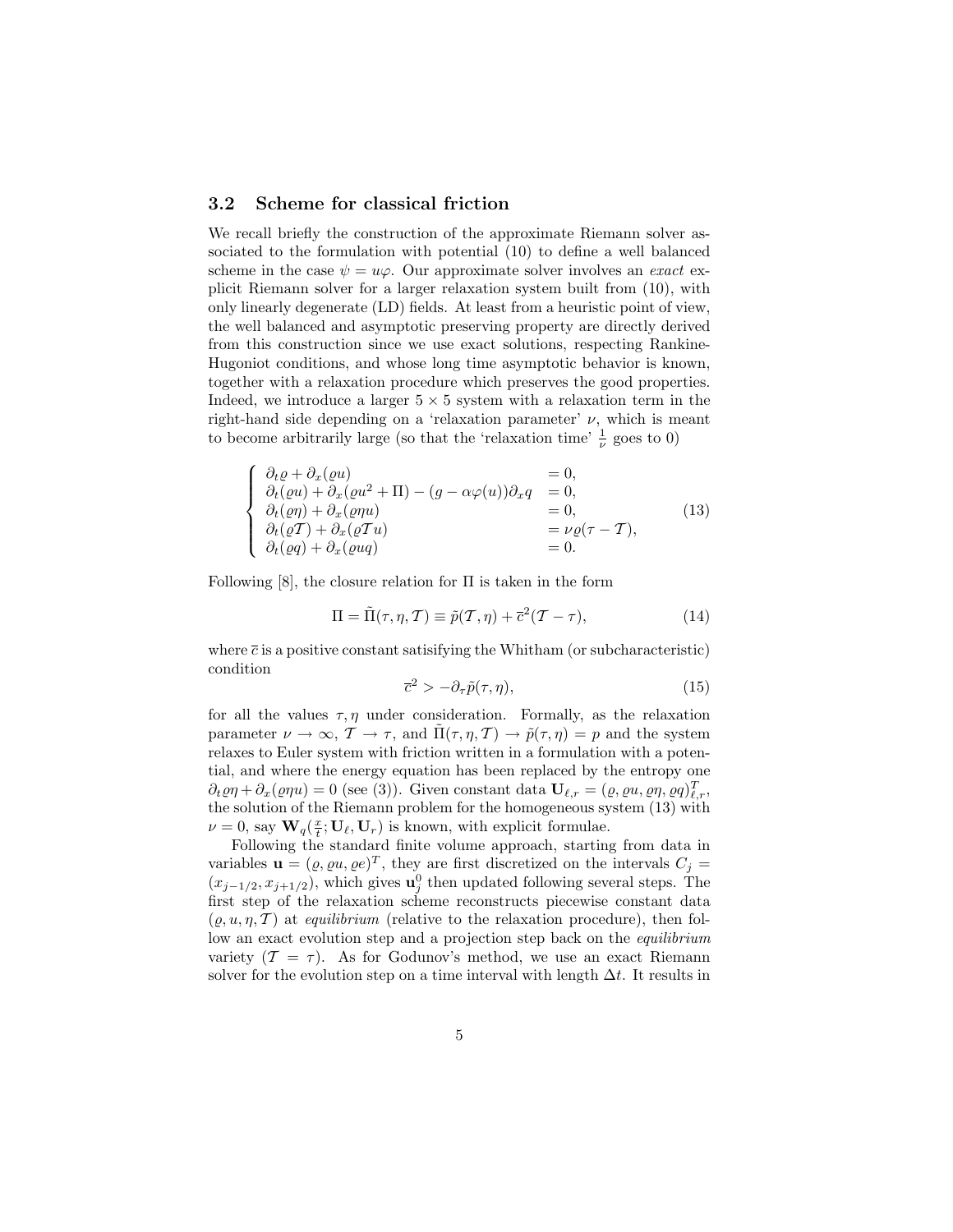### 3.2 Scheme for classical friction

We recall briefly the construction of the approximate Riemann solver associated to the formulation with potential (10) to define a well balanced scheme in the case  $\psi = u\varphi$ . Our approximate solver involves an exact explicit Riemann solver for a larger relaxation system built from (10), with only linearly degenerate (LD) fields. At least from a heuristic point of view, the well balanced and asymptotic preserving property are directly derived from this construction since we use exact solutions, respecting Rankine-Hugoniot conditions, and whose long time asymptotic behavior is known, together with a relaxation procedure which preserves the good properties. Indeed, we introduce a larger  $5 \times 5$  system with a relaxation term in the right-hand side depending on a 'relaxation parameter'  $\nu$ , which is meant to become arbitrarily large (so that the 'relaxation time'  $\frac{1}{\nu}$  goes to 0)

$$
\begin{cases}\n\partial_t \varrho + \partial_x (\varrho u) & = 0, \\
\partial_t (\varrho u) + \partial_x (\varrho u^2 + \Pi) - (g - \alpha \varphi(u)) \partial_x q & = 0, \\
\partial_t (\varrho \eta) + \partial_x (\varrho \eta u) & = 0, \\
\partial_t (\varrho T) + \partial_x (\varrho T u) & = \nu \varrho (\tau - T), \\
\partial_t (\varrho q) + \partial_x (\varrho u q) & = 0.\n\end{cases}
$$
\n(13)

Following  $[8]$ , the closure relation for  $\Pi$  is taken in the form

$$
\Pi = \tilde{\Pi}(\tau, \eta, \mathcal{T}) \equiv \tilde{p}(\mathcal{T}, \eta) + \bar{c}^2(\mathcal{T} - \tau), \tag{14}
$$

where  $\bar{c}$  is a positive constant satisifying the Whitham (or subcharacteristic) condition

$$
\overline{c}^2 > -\partial_\tau \tilde{p}(\tau, \eta),\tag{15}
$$

for all the values  $\tau$ ,  $\eta$  under consideration. Formally, as the relaxation parameter  $\nu \to \infty$ ,  $\mathcal{T} \to \tau$ , and  $\tilde{\Pi}(\tau, \eta, \mathcal{T}) \to \tilde{p}(\tau, \eta) = p$  and the system relaxes to Euler system with friction written in a formulation with a potential, and where the energy equation has been replaced by the entropy one  $\partial_t \varrho \eta + \partial_x(\varrho \eta u) = 0$  (see (3)). Given constant data  $\mathbf{U}_{\ell,r} = (\varrho, \varrho u, \varrho \eta, \varrho q)_{\ell,r}^T$ , the solution of the Riemann problem for the homogeneous system (13) with  $\nu = 0$ , say  $\mathbf{W}_q(\frac{x}{t}; \mathbf{U}_\ell, \mathbf{U}_r)$  is known, with explicit formulae.

Following the standard finite volume approach, starting from data in variables  $\mathbf{u} = (\varrho, \varrho u, \varrho e)^T$ , they are first discretized on the intervals  $C_j =$  $(x_{j-1/2}, x_{j+1/2})$ , which gives  $\mathbf{u}_j^0$  then updated following several steps. The first step of the relaxation scheme reconstructs piecewise constant data  $(\rho, u, \eta, \mathcal{T})$  at *equilibrium* (relative to the relaxation procedure), then follow an exact evolution step and a projection step back on the *equilibrium* variety  $(T = \tau)$ . As for Godunov's method, we use an exact Riemann solver for the evolution step on a time interval with length  $\Delta t$ . It results in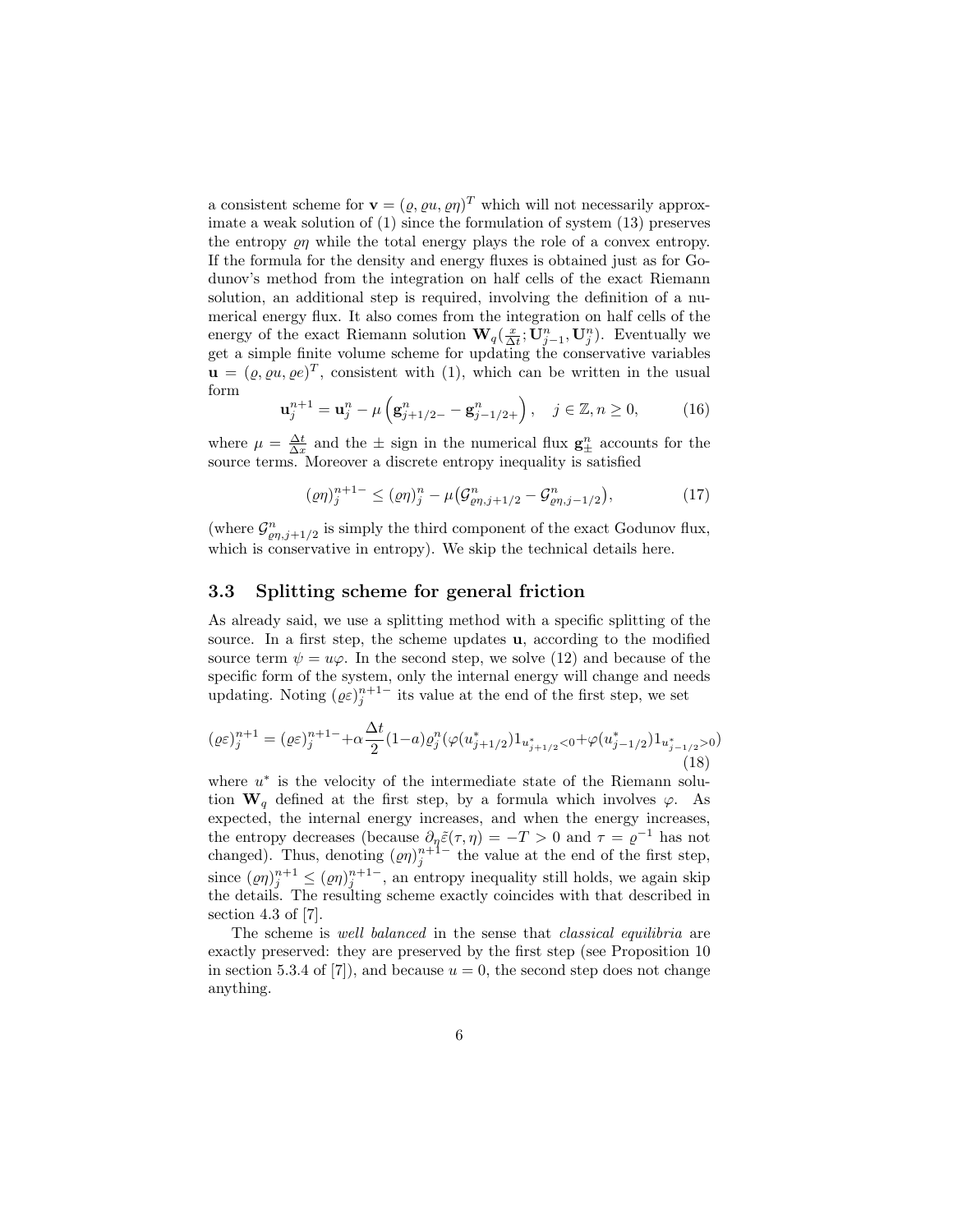a consistent scheme for  $\mathbf{v} = (\varrho, \varrho u, \varrho \eta)^T$  which will not necessarily approximate a weak solution of (1) since the formulation of system (13) preserves the entropy  $\rho$  while the total energy plays the role of a convex entropy. If the formula for the density and energy fluxes is obtained just as for Godunov's method from the integration on half cells of the exact Riemann solution, an additional step is required, involving the definition of a numerical energy flux. It also comes from the integration on half cells of the energy of the exact Riemann solution  $\mathbf{W}_q(\frac{x}{\Delta t}; \mathbf{U}_{j-1}^n, \mathbf{U}_{j}^n)$ . Eventually we get a simple finite volume scheme for updating the conservative variables  $\mathbf{u} = (\varrho, \varrho u, \varrho e)^T$ , consistent with (1), which can be written in the usual form

$$
\mathbf{u}_{j}^{n+1} = \mathbf{u}_{j}^{n} - \mu \left( \mathbf{g}_{j+1/2-}^{n} - \mathbf{g}_{j-1/2+}^{n} \right), \quad j \in \mathbb{Z}, n \ge 0,
$$
 (16)

where  $\mu = \frac{\Delta t}{\Delta x}$  and the  $\pm$  sign in the numerical flux  $\mathbf{g}_{\pm}^{n}$  accounts for the source terms. Moreover a discrete entropy inequality is satisfied

$$
(\varrho\eta)^{n+1-} \leq (\varrho\eta)^n_j - \mu \big( \mathcal{G}^n_{\varrho\eta,j+1/2} - \mathcal{G}^n_{\varrho\eta,j-1/2} \big), \tag{17}
$$

(where  $\mathcal{G}^n_{\varrho\eta,j+1/2}$  is simply the third component of the exact Godunov flux, which is conservative in entropy). We skip the technical details here.

### 3.3 Splitting scheme for general friction

As already said, we use a splitting method with a specific splitting of the source. In a first step, the scheme updates u, according to the modified source term  $\psi = u\varphi$ . In the second step, we solve (12) and because of the specific form of the system, only the internal energy will change and needs updating. Noting  $(\varrho \varepsilon)_{j}^{n+1-}$  its value at the end of the first step, we set

$$
(\varrho\varepsilon)_j^{n+1} = (\varrho\varepsilon)_j^{n+1-} + \alpha \frac{\Delta t}{2} (1-a) \varrho_j^n (\varphi(u_{j+1/2}^*) 1_{u_{j+1/2}^* < 0} + \varphi(u_{j-1/2}^*) 1_{u_{j-1/2}^* > 0})
$$
\n(18)

where  $u^*$  is the velocity of the intermediate state of the Riemann solution  $\mathbf{W}_q$  defined at the first step, by a formula which involves  $\varphi$ . As expected, the internal energy increases, and when the energy increases, the entropy decreases (because  $\partial_{\eta} \tilde{\varepsilon}(\tau, \eta) = -T > 0$  and  $\tau = \varrho^{-1}$  has not changed). Thus, denoting  $(\varrho \eta)^{n+1-}_j$  the value at the end of the first step, since  $(\varrho\eta)^{n+1}_{j} \leq (\varrho\eta)^{n+1-1}_{j}$ , an entropy inequality still holds, we again skip the details. The resulting scheme exactly coincides with that described in section 4.3 of  $[7]$ .

The scheme is well balanced in the sense that *classical equilibria* are exactly preserved: they are preserved by the first step (see Proposition 10 in section 5.3.4 of [7]), and because  $u = 0$ , the second step does not change anything.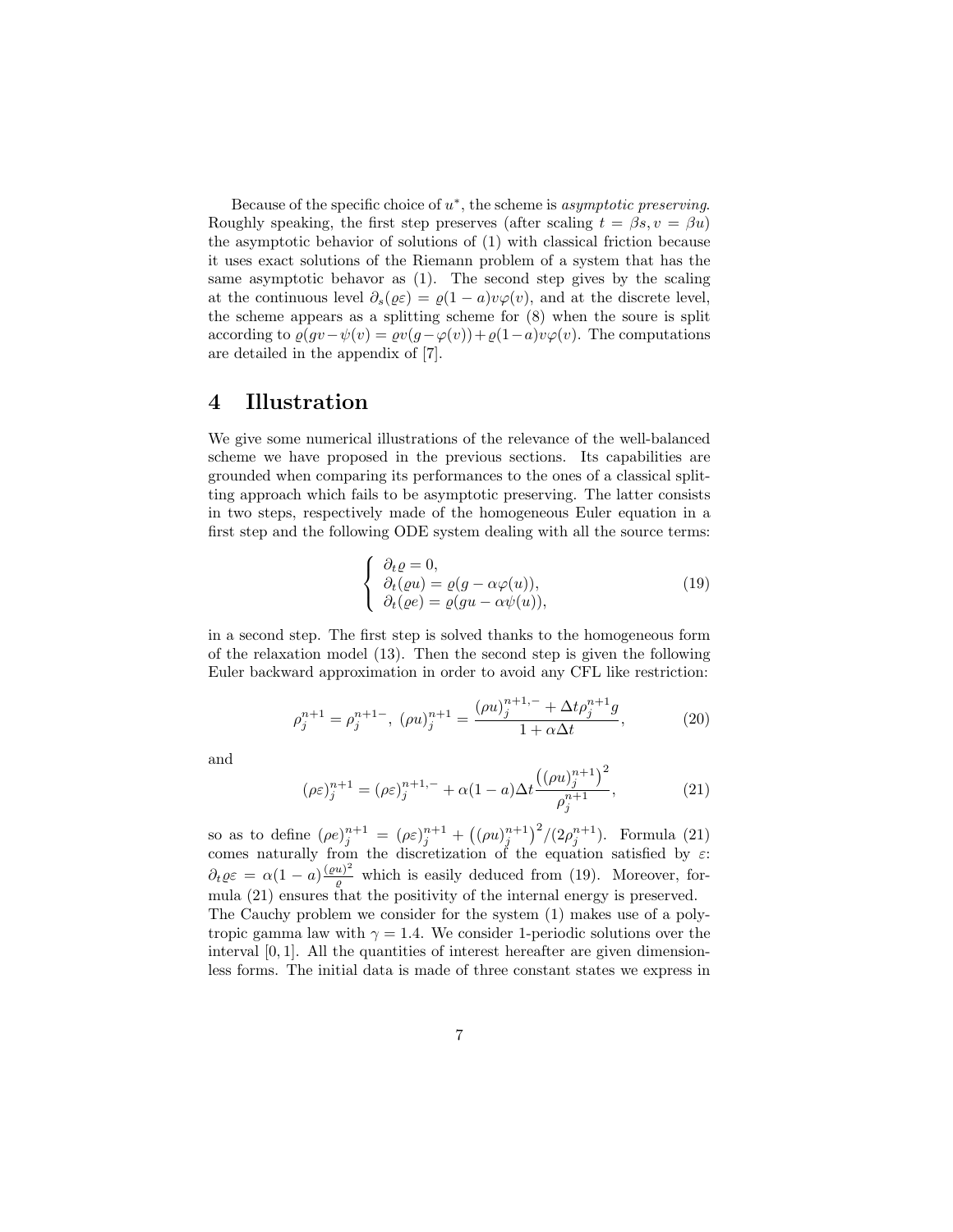Because of the specific choice of  $u^*$ , the scheme is *asymptotic preserving*. Roughly speaking, the first step preserves (after scaling  $t = \beta s, v = \beta u$ ) the asymptotic behavior of solutions of (1) with classical friction because it uses exact solutions of the Riemann problem of a system that has the same asymptotic behavor as (1). The second step gives by the scaling at the continuous level  $\partial_s(\varrho\varepsilon) = \varrho(1-a)v\varphi(v)$ , and at the discrete level, the scheme appears as a splitting scheme for (8) when the soure is split according to  $\varrho(gv-\psi(v)) = \varrho v(g-\varphi(v)) + \varrho(1-a)v\varphi(v)$ . The computations are detailed in the appendix of [7].

## 4 Illustration

We give some numerical illustrations of the relevance of the well-balanced scheme we have proposed in the previous sections. Its capabilities are grounded when comparing its performances to the ones of a classical splitting approach which fails to be asymptotic preserving. The latter consists in two steps, respectively made of the homogeneous Euler equation in a first step and the following ODE system dealing with all the source terms:

$$
\begin{cases}\n\partial_t \varrho = 0, \\
\partial_t (\varrho u) = \varrho (g - \alpha \varphi(u)), \\
\partial_t (\varrho e) = \varrho (gu - \alpha \psi(u)),\n\end{cases}
$$
\n(19)

in a second step. The first step is solved thanks to the homogeneous form of the relaxation model (13). Then the second step is given the following Euler backward approximation in order to avoid any CFL like restriction:

$$
\rho_j^{n+1} = \rho_j^{n+1-}, \ (\rho u)_j^{n+1} = \frac{(\rho u)_j^{n+1,-} + \Delta t \rho_j^{n+1} g}{1 + \alpha \Delta t}, \tag{20}
$$

and

$$
(\rho \varepsilon)_j^{n+1} = (\rho \varepsilon)_j^{n+1,-} + \alpha (1-a) \Delta t \frac{((\rho u)_j^{n+1})^2}{\rho_j^{n+1}},
$$
\n(21)

so as to define  $(\rho e)_j^{n+1} = (\rho \varepsilon)_j^{n+1} + ((\rho u)_j^{n+1})^2 / (2 \rho_j^{n+1})$ . Formula (21) comes naturally from the discretization of the equation satisfied by  $\varepsilon$ :  $\partial_t \varrho \varepsilon = \alpha (1 - a) \frac{(\varrho u)^2}{\varrho}$  which is easily deduced from (19). Moreover, formula (21) ensures that the positivity of the internal energy is preserved. The Cauchy problem we consider for the system (1) makes use of a polytropic gamma law with  $\gamma = 1.4$ . We consider 1-periodic solutions over the interval  $[0, 1]$ . All the quantities of interest hereafter are given dimensionless forms. The initial data is made of three constant states we express in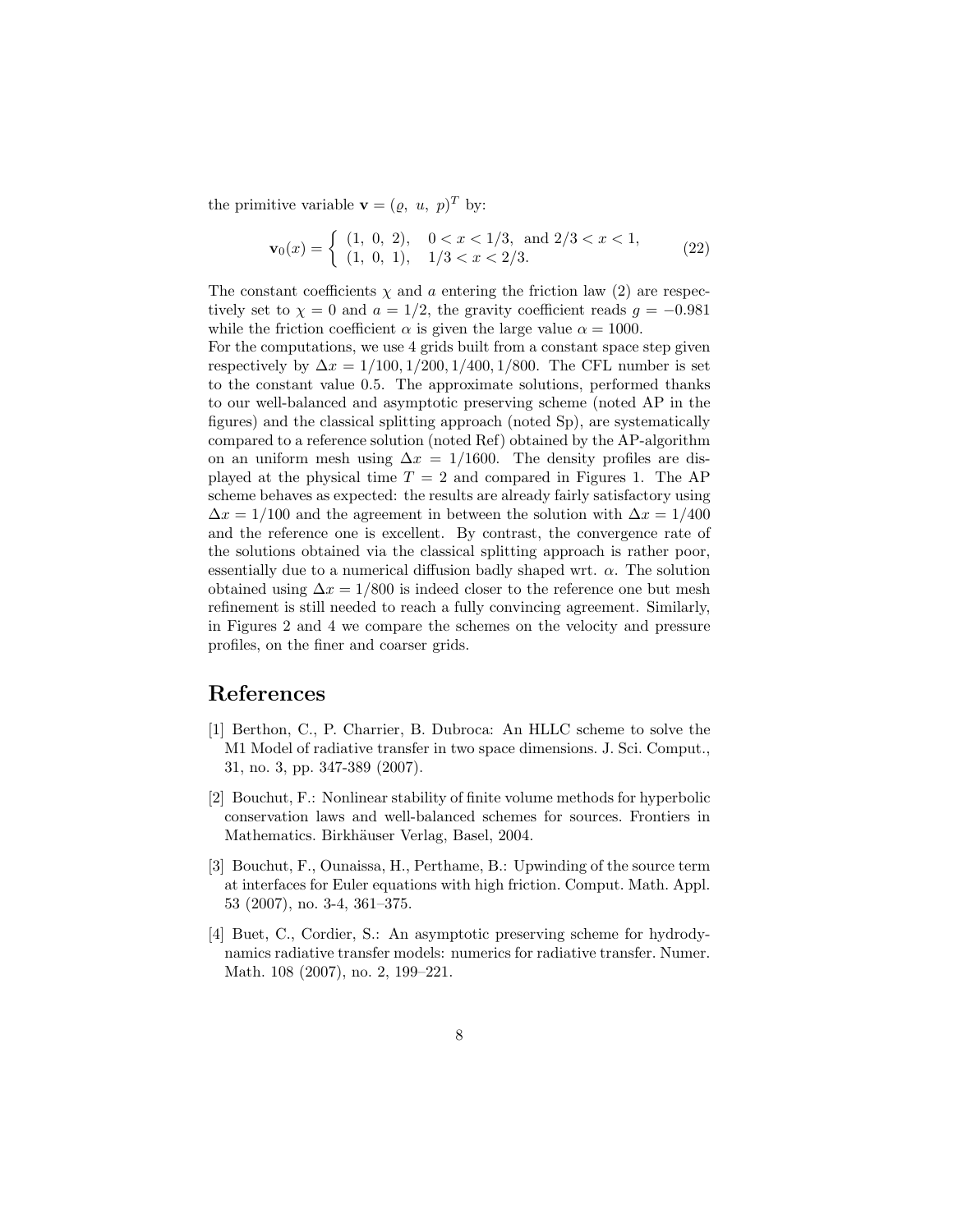the primitive variable  $\mathbf{v} = (\varrho, u, p)^T$  by:

$$
\mathbf{v}_0(x) = \begin{cases} (1, 0, 2), & 0 < x < 1/3, \text{ and } 2/3 < x < 1, \\ (1, 0, 1), & 1/3 < x < 2/3. \end{cases}
$$
 (22)

The constant coefficients  $\chi$  and a entering the friction law (2) are respectively set to  $\chi = 0$  and  $a = 1/2$ , the gravity coefficient reads  $g = -0.981$ while the friction coefficient  $\alpha$  is given the large value  $\alpha = 1000$ .

For the computations, we use 4 grids built from a constant space step given respectively by  $\Delta x = 1/100, 1/200, 1/400, 1/800$ . The CFL number is set to the constant value 0.5. The approximate solutions, performed thanks to our well-balanced and asymptotic preserving scheme (noted AP in the figures) and the classical splitting approach (noted Sp), are systematically compared to a reference solution (noted Ref) obtained by the AP-algorithm on an uniform mesh using  $\Delta x = 1/1600$ . The density profiles are displayed at the physical time  $T = 2$  and compared in Figures 1. The AP scheme behaves as expected: the results are already fairly satisfactory using  $\Delta x = 1/100$  and the agreement in between the solution with  $\Delta x = 1/400$ and the reference one is excellent. By contrast, the convergence rate of the solutions obtained via the classical splitting approach is rather poor, essentially due to a numerical diffusion badly shaped wrt.  $\alpha$ . The solution obtained using  $\Delta x = 1/800$  is indeed closer to the reference one but mesh refinement is still needed to reach a fully convincing agreement. Similarly, in Figures 2 and 4 we compare the schemes on the velocity and pressure profiles, on the finer and coarser grids.

# References

- [1] Berthon, C., P. Charrier, B. Dubroca: An HLLC scheme to solve the M1 Model of radiative transfer in two space dimensions. J. Sci. Comput., 31, no. 3, pp. 347-389 (2007).
- [2] Bouchut, F.: Nonlinear stability of finite volume methods for hyperbolic conservation laws and well-balanced schemes for sources. Frontiers in Mathematics. Birkhäuser Verlag, Basel, 2004.
- [3] Bouchut, F., Ounaissa, H., Perthame, B.: Upwinding of the source term at interfaces for Euler equations with high friction. Comput. Math. Appl. 53 (2007), no. 3-4, 361–375.
- [4] Buet, C., Cordier, S.: An asymptotic preserving scheme for hydrodynamics radiative transfer models: numerics for radiative transfer. Numer. Math. 108 (2007), no. 2, 199–221.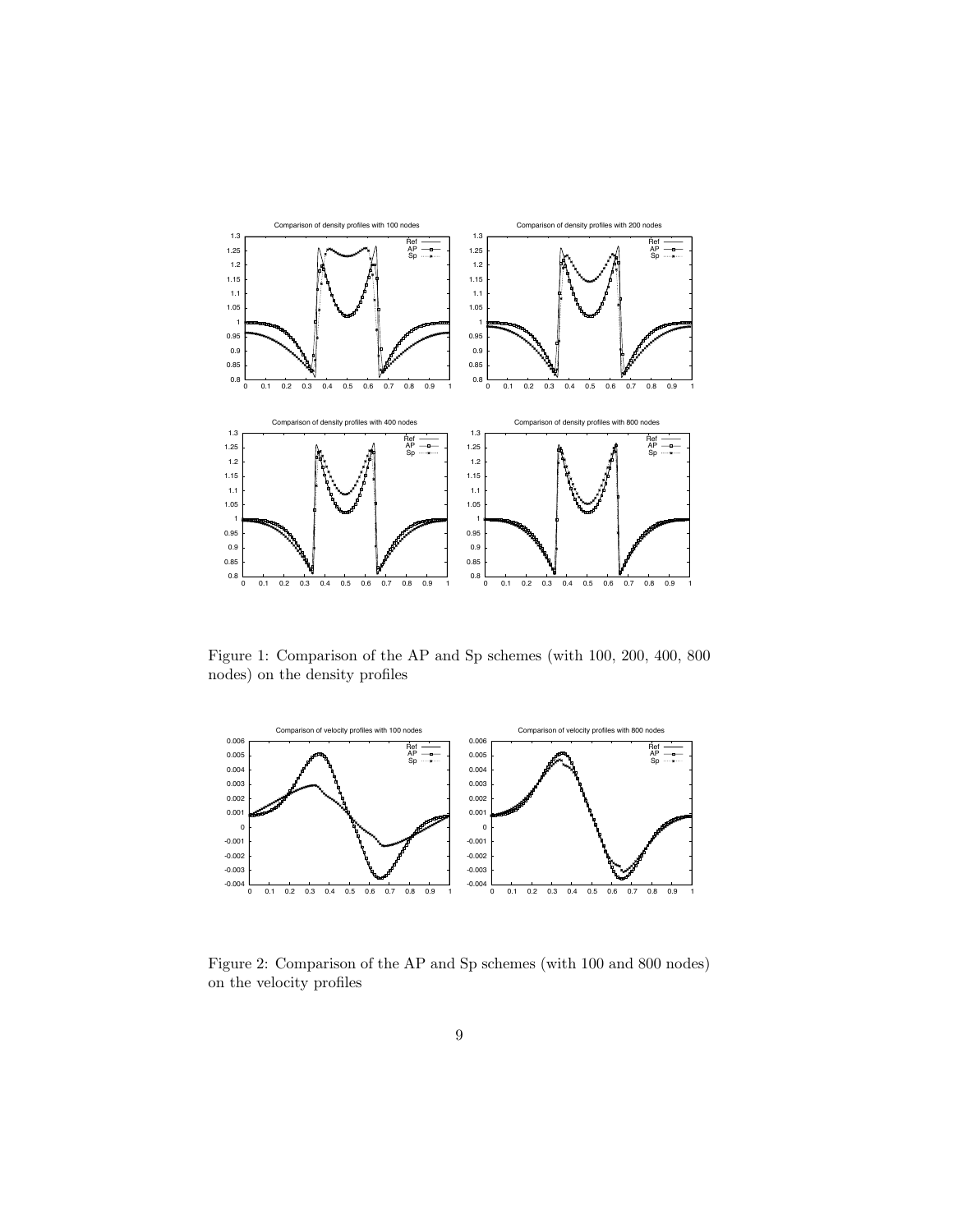

Figure 1: Comparison of the AP and Sp schemes (with 100, 200, 400, 800 nodes) on the density profiles



Figure 2: Comparison of the AP and Sp schemes (with 100 and 800 nodes) on the velocity profiles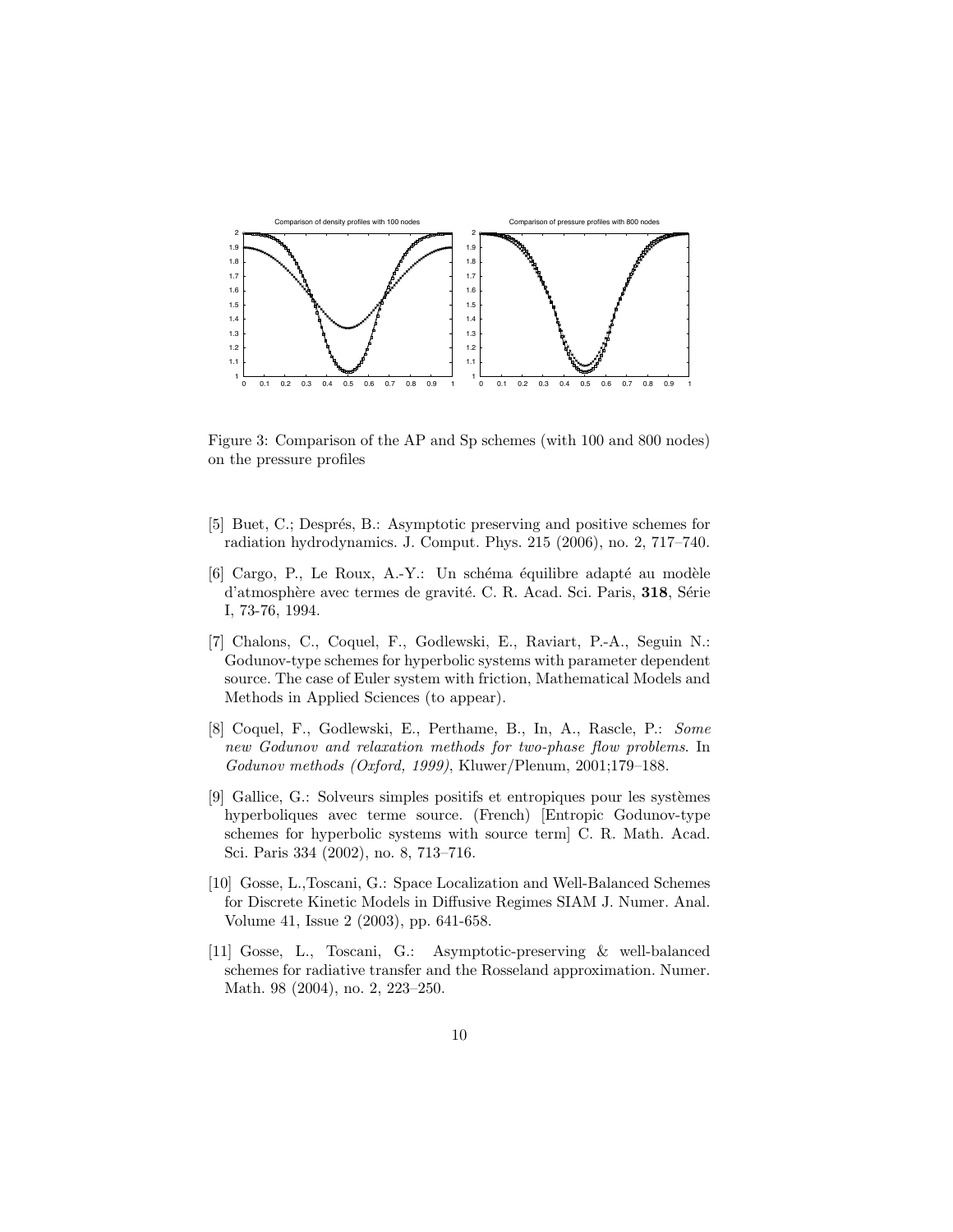

Figure 3: Comparison of the AP and Sp schemes (with 100 and 800 nodes) on the pressure profiles

- [5] Buet, C.; Després, B.: Asymptotic preserving and positive schemes for radiation hydrodynamics. J. Comput. Phys. 215 (2006), no. 2, 717–740.
- $[6]$  Cargo, P., Le Roux, A.-Y.: Un schéma équilibre adapté au modèle d'atmosphère avec termes de gravité. C. R. Acad. Sci. Paris, 318, Série I, 73-76, 1994.
- [7] Chalons, C., Coquel, F., Godlewski, E., Raviart, P.-A., Seguin N.: Godunov-type schemes for hyperbolic systems with parameter dependent source. The case of Euler system with friction, Mathematical Models and Methods in Applied Sciences (to appear).
- [8] Coquel, F., Godlewski, E., Perthame, B., In, A., Rascle, P.: Some new Godunov and relaxation methods for two-phase flow problems. In Godunov methods (Oxford, 1999), Kluwer/Plenum, 2001;179–188.
- [9] Gallice, G.: Solveurs simples positifs et entropiques pour les systèmes hyperboliques avec terme source. (French) [Entropic Godunov-type schemes for hyperbolic systems with source term] C. R. Math. Acad. Sci. Paris 334 (2002), no. 8, 713–716.
- [10] Gosse, L.,Toscani, G.: Space Localization and Well-Balanced Schemes for Discrete Kinetic Models in Diffusive Regimes SIAM J. Numer. Anal. Volume 41, Issue 2 (2003), pp. 641-658.
- [11] Gosse, L., Toscani, G.: Asymptotic-preserving & well-balanced schemes for radiative transfer and the Rosseland approximation. Numer. Math. 98 (2004), no. 2, 223–250.